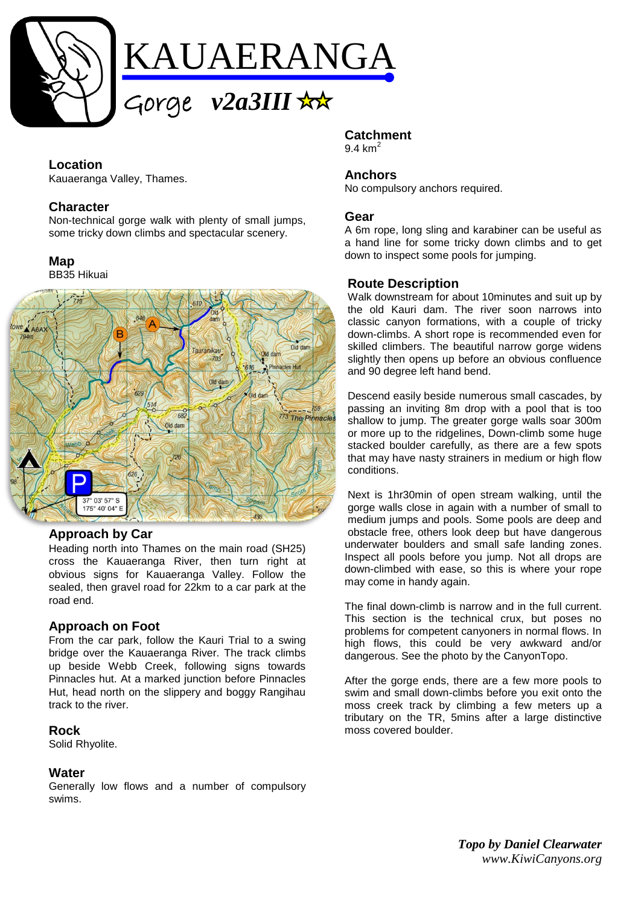

## **Location**

Kauaeranga Valley, Thames.

## **Character**

Non-technical gorge walk with plenty of small jumps, some tricky down climbs and spectacular scenery.

## **Map**

BB35 Hikuai



## **Approach by Car**

Heading north into Thames on the main road (SH25) cross the Kauaeranga River, then turn right at obvious signs for Kauaeranga Valley. Follow the sealed, then gravel road for 22km to a car park at the road end.

## **Approach on Foot**

From the car park, follow the Kauri Trial to a swing bridge over the Kauaeranga River. The track climbs up beside Webb Creek, following signs towards Pinnacles hut. At a marked junction before Pinnacles Hut, head north on the slippery and boggy Rangihau track to the river.

## **Rock**

Solid Rhyolite.

## **Water**

Generally low flows and a number of compulsory swims.

# **Catchment**

 $9.4 \text{ km}^2$ 

#### **Anchors**

No compulsory anchors required.

#### **Gear**

A 6m rope, long sling and karabiner can be useful as a hand line for some tricky down climbs and to get down to inspect some pools for jumping.

#### **Route Description**

Walk downstream for about 10minutes and suit up by the old Kauri dam. The river soon narrows into classic canyon formations, with a couple of tricky down-climbs. A short rope is recommended even for skilled climbers. The beautiful narrow gorge widens slightly then opens up before an obvious confluence and 90 degree left hand bend.

Descend easily beside numerous small cascades, by passing an inviting 8m drop with a pool that is too shallow to jump. The greater gorge walls soar 300m or more up to the ridgelines, Down-climb some huge stacked boulder carefully, as there are a few spots that may have nasty strainers in medium or high flow conditions.

Next is 1hr30min of open stream walking, until the gorge walls close in again with a number of small to medium jumps and pools. Some pools are deep and obstacle free, others look deep but have dangerous underwater boulders and small safe landing zones. Inspect all pools before you jump. Not all drops are down-climbed with ease, so this is where your rope may come in handy again.

The final down-climb is narrow and in the full current. This section is the technical crux, but poses no problems for competent canyoners in normal flows. In high flows, this could be very awkward and/or dangerous. See the photo by the CanyonTopo.

After the gorge ends, there are a few more pools to swim and small down-climbs before you exit onto the moss creek track by climbing a few meters up a tributary on the TR, 5mins after a large distinctive moss covered boulder.

> *Topo by Daniel Clearwater www.KiwiCanyons.org*